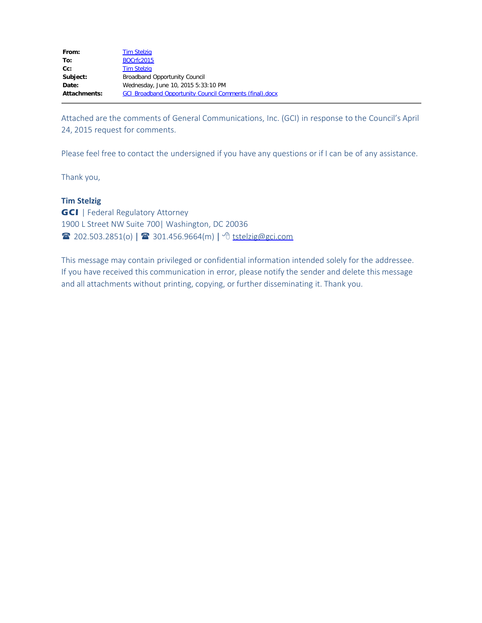| From:               | <b>Tim Stelzig</b>                                             |
|---------------------|----------------------------------------------------------------|
| To:                 | <b>BOCrfc2015</b>                                              |
| $Cc$ :              | <b>Tim Stelzig</b>                                             |
| Subject:            | <b>Broadband Opportunity Council</b>                           |
| Date:               | Wednesday, June 10, 2015 5:33:10 PM                            |
| <b>Attachments:</b> | <b>GCI Broadband Opportunity Council Comments (final).docx</b> |

Attached are the comments of General Communications, Inc. (GCI) in response to the Council's April 24, 2015 request for comments.

Please feel free to contact the undersigned if you have any questions or if I can be of any assistance.

Thank you,

## **Tim Stelzig**

**GCI** | Federal Regulatory Attorney 1900 L Street NW Suite 700| Washington, DC 20036 **T** 202.503.2851(o) | **T** 301.456.9664(m) |  $\sqrt[4]{}$  [tstelzig@gci.com](mailto:tstelzig@gci.com)

This message may contain privileged or confidential information intended solely for the addressee. If you have received this communication in error, please notify the sender and delete this message and all attachments without printing, copying, or further disseminating it. Thank you.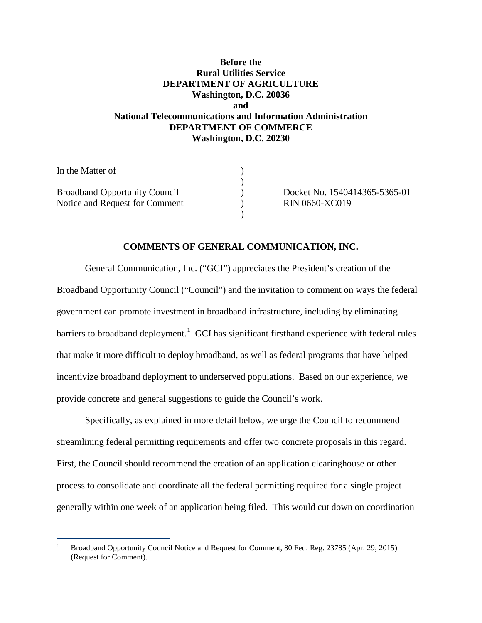# **Before the Rural Utilities Service DEPARTMENT OF AGRICULTURE Washington, D.C. 20036 and National Telecommunications and Information Administration DEPARTMENT OF COMMERCE Washington, D.C. 20230**

| In the Matter of                     |                               |
|--------------------------------------|-------------------------------|
|                                      |                               |
| <b>Broadband Opportunity Council</b> | Docket No. 1540414365-5365-01 |
| Notice and Request for Comment       | <b>RIN 0660-XC019</b>         |
|                                      |                               |

### **COMMENTS OF GENERAL COMMUNICATION, INC.**

General Communication, Inc. ("GCI") appreciates the President's creation of the Broadband Opportunity Council ("Council") and the invitation to comment on ways the federal government can promote investment in broadband infrastructure, including by eliminating barriers to broadband deployment.<sup>[1](#page-1-0)</sup> GCI has significant firsthand experience with federal rules that make it more difficult to deploy broadband, as well as federal programs that have helped incentivize broadband deployment to underserved populations. Based on our experience, we provide concrete and general suggestions to guide the Council's work.

Specifically, as explained in more detail below, we urge the Council to recommend streamlining federal permitting requirements and offer two concrete proposals in this regard. First, the Council should recommend the creation of an application clearinghouse or other process to consolidate and coordinate all the federal permitting required for a single project generally within one week of an application being filed. This would cut down on coordination

 $\overline{\phantom{a}}$ 

<span id="page-1-0"></span><sup>1</sup> Broadband Opportunity Council Notice and Request for Comment, 80 Fed. Reg. 23785 (Apr. 29, 2015) (Request for Comment).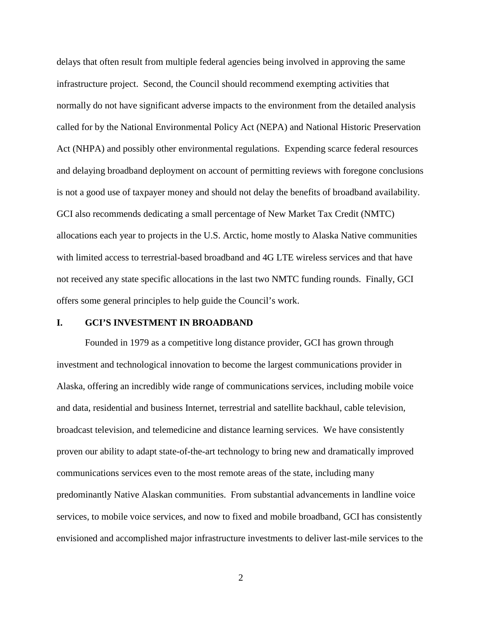delays that often result from multiple federal agencies being involved in approving the same infrastructure project. Second, the Council should recommend exempting activities that normally do not have significant adverse impacts to the environment from the detailed analysis called for by the National Environmental Policy Act (NEPA) and National Historic Preservation Act (NHPA) and possibly other environmental regulations. Expending scarce federal resources and delaying broadband deployment on account of permitting reviews with foregone conclusions is not a good use of taxpayer money and should not delay the benefits of broadband availability. GCI also recommends dedicating a small percentage of New Market Tax Credit (NMTC) allocations each year to projects in the U.S. Arctic, home mostly to Alaska Native communities with limited access to terrestrial-based broadband and 4G LTE wireless services and that have not received any state specific allocations in the last two NMTC funding rounds. Finally, GCI offers some general principles to help guide the Council's work.

#### **I. GCI'S INVESTMENT IN BROADBAND**

Founded in 1979 as a competitive long distance provider, GCI has grown through investment and technological innovation to become the largest communications provider in Alaska, offering an incredibly wide range of communications services, including mobile voice and data, residential and business Internet, terrestrial and satellite backhaul, cable television, broadcast television, and telemedicine and distance learning services. We have consistently proven our ability to adapt state-of-the-art technology to bring new and dramatically improved communications services even to the most remote areas of the state, including many predominantly Native Alaskan communities. From substantial advancements in landline voice services, to mobile voice services, and now to fixed and mobile broadband, GCI has consistently envisioned and accomplished major infrastructure investments to deliver last-mile services to the

2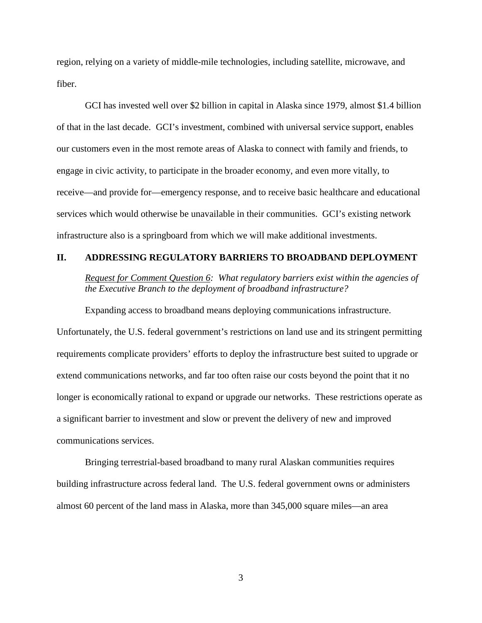region, relying on a variety of middle-mile technologies, including satellite, microwave, and fiber.

GCI has invested well over \$2 billion in capital in Alaska since 1979, almost \$1.4 billion of that in the last decade. GCI's investment, combined with universal service support, enables our customers even in the most remote areas of Alaska to connect with family and friends, to engage in civic activity, to participate in the broader economy, and even more vitally, to receive—and provide for—emergency response, and to receive basic healthcare and educational services which would otherwise be unavailable in their communities. GCI's existing network infrastructure also is a springboard from which we will make additional investments.

#### **II. ADDRESSING REGULATORY BARRIERS TO BROADBAND DEPLOYMENT**

*Request for Comment Question 6: What regulatory barriers exist within the agencies of the Executive Branch to the deployment of broadband infrastructure?*

Expanding access to broadband means deploying communications infrastructure. Unfortunately, the U.S. federal government's restrictions on land use and its stringent permitting requirements complicate providers' efforts to deploy the infrastructure best suited to upgrade or extend communications networks, and far too often raise our costs beyond the point that it no longer is economically rational to expand or upgrade our networks. These restrictions operate as a significant barrier to investment and slow or prevent the delivery of new and improved communications services.

Bringing terrestrial-based broadband to many rural Alaskan communities requires building infrastructure across federal land. The U.S. federal government owns or administers almost 60 percent of the land mass in Alaska, more than 345,000 square miles—an area

3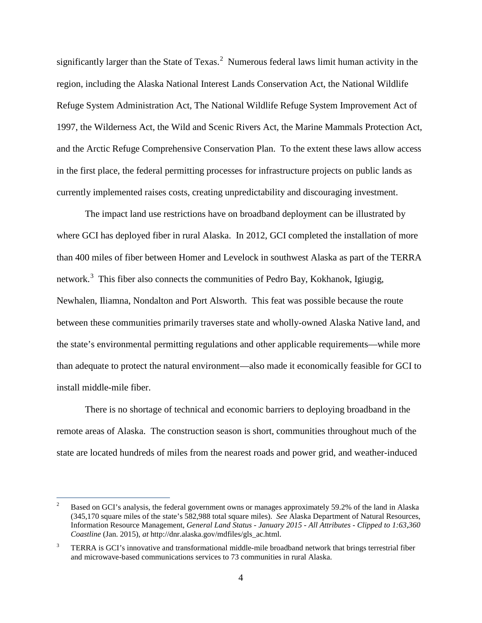significantly larger than the State of Texas. $^2$  $^2$  Numerous federal laws limit human activity in the region, including the Alaska National Interest Lands Conservation Act, the National Wildlife Refuge System Administration Act, The National Wildlife Refuge System Improvement Act of 1997, the Wilderness Act, the Wild and Scenic Rivers Act, the Marine Mammals Protection Act, and the Arctic Refuge Comprehensive Conservation Plan. To the extent these laws allow access in the first place, the federal permitting processes for infrastructure projects on public lands as currently implemented raises costs, creating unpredictability and discouraging investment.

The impact land use restrictions have on broadband deployment can be illustrated by where GCI has deployed fiber in rural Alaska. In 2012, GCI completed the installation of more than 400 miles of fiber between Homer and Levelock in southwest Alaska as part of the TERRA network.<sup>[3](#page-4-1)</sup> This fiber also connects the communities of Pedro Bay, Kokhanok, Igiugig, Newhalen, Iliamna, Nondalton and Port Alsworth. This feat was possible because the route between these communities primarily traverses state and wholly-owned Alaska Native land, and the state's environmental permitting regulations and other applicable requirements—while more than adequate to protect the natural environment—also made it economically feasible for GCI to install middle-mile fiber.

There is no shortage of technical and economic barriers to deploying broadband in the remote areas of Alaska. The construction season is short, communities throughout much of the state are located hundreds of miles from the nearest roads and power grid, and weather-induced

<span id="page-4-0"></span> $\overline{c}$ <sup>2</sup> Based on GCI's analysis, the federal government owns or manages approximately 59.2% of the land in Alaska (345,170 square miles of the state's 582,988 total square miles). *See* Alaska Department of Natural Resources, Information Resource Management, *General Land Status - January 2015 - All Attributes - Clipped to 1:63,360 Coastline* (Jan. 2015), *at* http://dnr.alaska.gov/mdfiles/gls\_ac.html.

<span id="page-4-1"></span><sup>&</sup>lt;sup>3</sup> TERRA is GCI's innovative and transformational middle-mile broadband network that brings terrestrial fiber and microwave-based communications services to 73 communities in rural Alaska.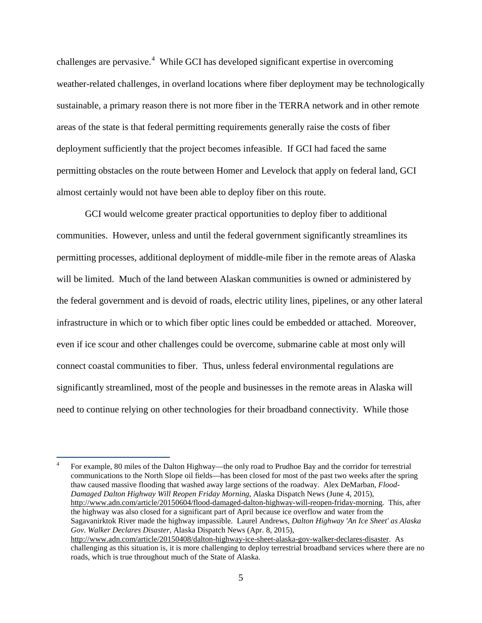challenges are pervasive.<sup>[4](#page-5-0)</sup> While GCI has developed significant expertise in overcoming weather-related challenges, in overland locations where fiber deployment may be technologically sustainable, a primary reason there is not more fiber in the TERRA network and in other remote areas of the state is that federal permitting requirements generally raise the costs of fiber deployment sufficiently that the project becomes infeasible. If GCI had faced the same permitting obstacles on the route between Homer and Levelock that apply on federal land, GCI almost certainly would not have been able to deploy fiber on this route.

GCI would welcome greater practical opportunities to deploy fiber to additional communities. However, unless and until the federal government significantly streamlines its permitting processes, additional deployment of middle-mile fiber in the remote areas of Alaska will be limited. Much of the land between Alaskan communities is owned or administered by the federal government and is devoid of roads, electric utility lines, pipelines, or any other lateral infrastructure in which or to which fiber optic lines could be embedded or attached. Moreover, even if ice scour and other challenges could be overcome, submarine cable at most only will connect coastal communities to fiber. Thus, unless federal environmental regulations are significantly streamlined, most of the people and businesses in the remote areas in Alaska will need to continue relying on other technologies for their broadband connectivity. While those

<span id="page-5-0"></span><sup>4</sup> For example, 80 miles of the Dalton Highway—the only road to Prudhoe Bay and the corridor for terrestrial communications to the North Slope oil fields—has been closed for most of the past two weeks after the spring thaw caused massive flooding that washed away large sections of the roadway. Alex DeMarban, *Flood-Damaged Dalton Highway Will Reopen Friday Morning*, Alaska Dispatch News (June 4, 2015), [http://www.adn.com/article/20150604/flood-damaged-dalton-highway-will-reopen-friday-morning.](http://www.adn.com/article/20150604/flood-damaged-dalton-highway-will-reopen-friday-morning) This, after the highway was also closed for a significant part of April because ice overflow and water from the Sagavanirktok River made the highway impassible. Laurel Andrews, *Dalton Highway 'An Ice Sheet' as Alaska Gov. Walker Declares Disaster*, Alaska Dispatch News (Apr. 8, 2015), [http://www.adn.com/article/20150408/dalton-highway-ice-sheet-alaska-gov-walker-declares-disaster.](http://www.adn.com/article/20150408/dalton-highway-ice-sheet-alaska-gov-walker-declares-disaster) As challenging as this situation is, it is more challenging to deploy terrestrial broadband services where there are no roads, which is true throughout much of the State of Alaska.

-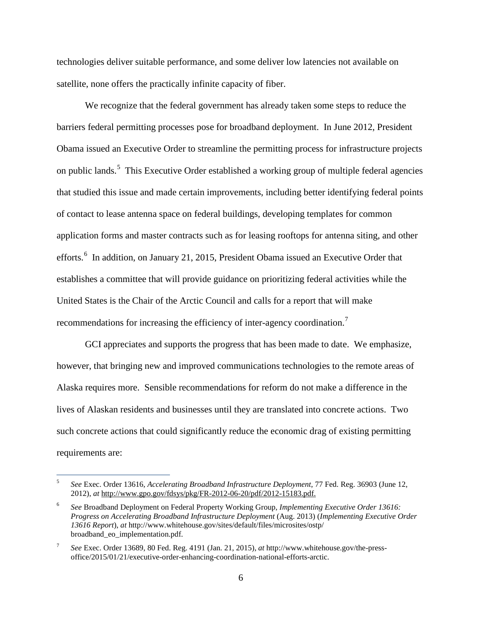technologies deliver suitable performance, and some deliver low latencies not available on satellite, none offers the practically infinite capacity of fiber.

We recognize that the federal government has already taken some steps to reduce the barriers federal permitting processes pose for broadband deployment. In June 2012, President Obama issued an Executive Order to streamline the permitting process for infrastructure projects on public lands.<sup>[5](#page-6-0)</sup> This Executive Order established a working group of multiple federal agencies that studied this issue and made certain improvements, including better identifying federal points of contact to lease antenna space on federal buildings, developing templates for common application forms and master contracts such as for leasing rooftops for antenna siting, and other efforts.<sup>[6](#page-6-1)</sup> In addition, on January 21, 2015, President Obama issued an Executive Order that establishes a committee that will provide guidance on prioritizing federal activities while the United States is the Chair of the Arctic Council and calls for a report that will make recommendations for increasing the efficiency of inter-agency coordination.<sup>[7](#page-6-2)</sup>

GCI appreciates and supports the progress that has been made to date. We emphasize, however, that bringing new and improved communications technologies to the remote areas of Alaska requires more. Sensible recommendations for reform do not make a difference in the lives of Alaskan residents and businesses until they are translated into concrete actions. Two such concrete actions that could significantly reduce the economic drag of existing permitting requirements are:

t

<span id="page-6-0"></span><sup>5</sup> *See* Exec. Order 13616, *Accelerating Broadband Infrastructure Deployment*, 77 Fed. Reg. 36903 (June 12, 2012), *at* [http://www.gpo.gov/fdsys/pkg/FR-2012-06-20/pdf/2012-15183.pdf.](http://www.gpo.gov/fdsys/pkg/FR-2012-06-20/pdf/2012-15183.pdf)

<span id="page-6-1"></span><sup>6</sup> *See* Broadband Deployment on Federal Property Working Group, *Implementing Executive Order 13616: Progress on Accelerating Broadband Infrastructure Deployment* (Aug. 2013) (*Implementing Executive Order 13616 Report*), *at* http://www.whitehouse.gov/sites/default/files/microsites/ostp/ broadband\_eo\_implementation.pdf.

<span id="page-6-2"></span><sup>7</sup> *See* Exec. Order 13689, 80 Fed. Reg. 4191 (Jan. 21, 2015), *at* http://www.whitehouse.gov/the-pressoffice/2015/01/21/executive-order-enhancing-coordination-national-efforts-arctic.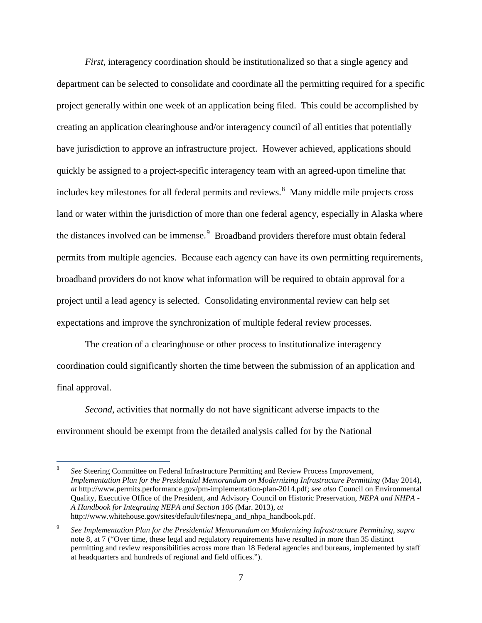<span id="page-7-0"></span>*First*, interagency coordination should be institutionalized so that a single agency and department can be selected to consolidate and coordinate all the permitting required for a specific project generally within one week of an application being filed. This could be accomplished by creating an application clearinghouse and/or interagency council of all entities that potentially have jurisdiction to approve an infrastructure project. However achieved, applications should quickly be assigned to a project-specific interagency team with an agreed-upon timeline that includes key milestones for all federal permits and reviews.<sup>[8](#page-7-1)</sup> Many middle mile projects cross land or water within the jurisdiction of more than one federal agency, especially in Alaska where the distances involved can be immense.<sup>[9](#page-7-2)</sup> Broadband providers therefore must obtain federal permits from multiple agencies. Because each agency can have its own permitting requirements, broadband providers do not know what information will be required to obtain approval for a project until a lead agency is selected. Consolidating environmental review can help set expectations and improve the synchronization of multiple federal review processes.

The creation of a clearinghouse or other process to institutionalize interagency coordination could significantly shorten the time between the submission of an application and final approval.

*Second*, activities that normally do not have significant adverse impacts to the environment should be exempt from the detailed analysis called for by the National

-

<span id="page-7-1"></span><sup>8</sup> *See* Steering Committee on Federal Infrastructure Permitting and Review Process Improvement, *Implementation Plan for the Presidential Memorandum on Modernizing Infrastructure Permitting* (May 2014), *at* http://www.permits.performance.gov/pm-implementation-plan-2014.pdf; *see also* Council on Environmental Quality, Executive Office of the President, and Advisory Council on Historic Preservation, *NEPA and NHPA - A Handbook for Integrating NEPA and Section 106* (Mar. 2013), *at* http://www.whitehouse.gov/sites/default/files/nepa\_and\_nhpa\_handbook.pdf.

<span id="page-7-2"></span><sup>9</sup> *See Implementation Plan for the Presidential Memorandum on Modernizing Infrastructure Permitting*, *supra* not[e 8,](#page-7-0) at 7 ("Over time, these legal and regulatory requirements have resulted in more than 35 distinct permitting and review responsibilities across more than 18 Federal agencies and bureaus, implemented by staff at headquarters and hundreds of regional and field offices.").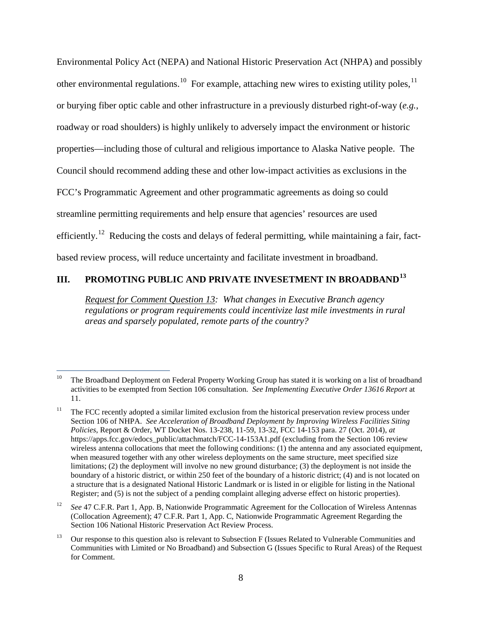Environmental Policy Act (NEPA) and National Historic Preservation Act (NHPA) and possibly other environmental regulations.<sup>[10](#page-8-0)</sup> For example, attaching new wires to existing utility poles, <sup>[11](#page-8-1)</sup> or burying fiber optic cable and other infrastructure in a previously disturbed right-of-way (*e.g.*, roadway or road shoulders) is highly unlikely to adversely impact the environment or historic properties—including those of cultural and religious importance to Alaska Native people. The Council should recommend adding these and other low-impact activities as exclusions in the FCC's Programmatic Agreement and other programmatic agreements as doing so could streamline permitting requirements and help ensure that agencies' resources are used efficiently.<sup>12</sup> Reducing the costs and delays of federal permitting, while maintaining a fair, factbased review process, will reduce uncertainty and facilitate investment in broadband.

# **III. PROMOTING PUBLIC AND PRIVATE INVESETMENT IN BROADBAND[13](#page-8-3)**

*Request for Comment Question 13: What changes in Executive Branch agency regulations or program requirements could incentivize last mile investments in rural areas and sparsely populated, remote parts of the country?* 

<span id="page-8-0"></span> $10\,$ <sup>10</sup> The Broadband Deployment on Federal Property Working Group has stated it is working on a list of broadband activities to be exempted from Section 106 consultation. *See Implementing Executive Order 13616 Report* at 11.

<span id="page-8-1"></span><sup>&</sup>lt;sup>11</sup> The FCC recently adopted a similar limited exclusion from the historical preservation review process under Section 106 of NHPA. *See Acceleration of Broadband Deployment by Improving Wireless Facilities Siting Policies*, Report & Order, WT Docket Nos. 13-238, 11-59, 13-32, FCC 14-153 para. 27 (Oct. 2014), *at* https://apps.fcc.gov/edocs\_public/attachmatch/FCC-14-153A1.pdf (excluding from the Section 106 review wireless antenna collocations that meet the following conditions: (1) the antenna and any associated equipment, when measured together with any other wireless deployments on the same structure, meet specified size limitations; (2) the deployment will involve no new ground disturbance; (3) the deployment is not inside the boundary of a historic district, or within 250 feet of the boundary of a historic district; (4) and is not located on a structure that is a designated National Historic Landmark or is listed in or eligible for listing in the National Register; and (5) is not the subject of a pending complaint alleging adverse effect on historic properties).

<span id="page-8-2"></span><sup>12</sup> *See* 47 C.F.R. Part 1, App. B, Nationwide Programmatic Agreement for the Collocation of Wireless Antennas (Collocation Agreement); 47 C.F.R. Part 1, App. C, Nationwide Programmatic Agreement Regarding the Section 106 National Historic Preservation Act Review Process.

<span id="page-8-3"></span><sup>&</sup>lt;sup>13</sup> Our response to this question also is relevant to Subsection F (Issues Related to Vulnerable Communities and Communities with Limited or No Broadband) and Subsection G (Issues Specific to Rural Areas) of the Request for Comment.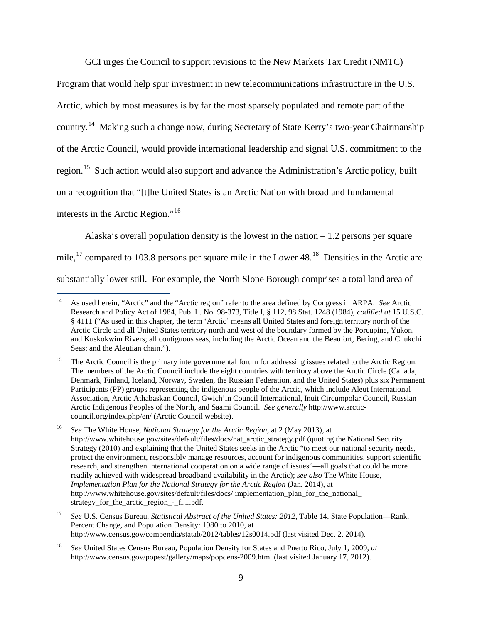GCI urges the Council to support revisions to the New Markets Tax Credit (NMTC)

Program that would help spur investment in new telecommunications infrastructure in the U.S.

Arctic, which by most measures is by far the most sparsely populated and remote part of the

<span id="page-9-5"></span>country.[14](#page-9-0) Making such a change now, during Secretary of State Kerry's two-year Chairmanship

of the Arctic Council, would provide international leadership and signal U.S. commitment to the

region.<sup>[15](#page-9-1)</sup> Such action would also support and advance the Administration's Arctic policy, built

on a recognition that "[t]he United States is an Arctic Nation with broad and fundamental

interests in the Arctic Region."<sup>[16](#page-9-2)</sup>

Alaska's overall population density is the lowest in the nation  $-1.2$  persons per square

mile,<sup>[17](#page-9-3)</sup> compared to 103.8 persons per square mile in the Lower  $48<sup>18</sup>$  $48<sup>18</sup>$  $48<sup>18</sup>$  Densities in the Arctic are

substantially lower still. For example, the North Slope Borough comprises a total land area of

<span id="page-9-0"></span><sup>14</sup> <sup>14</sup> As used herein, "Arctic" and the "Arctic region" refer to the area defined by Congress in ARPA. *See* Arctic Research and Policy Act of 1984, Pub. L. No. 98-373, Title I, § 112, 98 Stat. 1248 (1984), *codified at* 15 U.S.C. § 4111 ("As used in this chapter, the term 'Arctic' means all United States and foreign territory north of the Arctic Circle and all United States territory north and west of the boundary formed by the Porcupine, Yukon, and Kuskokwim Rivers; all contiguous seas, including the Arctic Ocean and the Beaufort, Bering, and Chukchi Seas; and the Aleutian chain.").

<span id="page-9-1"></span><sup>&</sup>lt;sup>15</sup> The Arctic Council is the primary intergovernmental forum for addressing issues related to the Arctic Region. The members of the Arctic Council include the eight countries with territory above the Arctic Circle (Canada, Denmark, Finland, Iceland, Norway, Sweden, the Russian Federation, and the United States) plus six Permanent Participants (PP) groups representing the indigenous people of the Arctic, which include Aleut International Association, Arctic Athabaskan Council, Gwich'in Council International, Inuit Circumpolar Council, Russian Arctic Indigenous Peoples of the North, and Saami Council. *See generally* http://www.arcticcouncil.org/index.php/en/ (Arctic Council website).

<span id="page-9-2"></span><sup>16</sup> *See* The White House, *National Strategy for the Arctic Region*, at 2 (May 2013), at http://www.whitehouse.gov/sites/default/files/docs/nat\_arctic\_strategy.pdf (quoting the National Security Strategy (2010) and explaining that the United States seeks in the Arctic "to meet our national security needs, protect the environment, responsibly manage resources, account for indigenous communities, support scientific research, and strengthen international cooperation on a wide range of issues"—all goals that could be more readily achieved with widespread broadband availability in the Arctic); *see also* The White House, *Implementation Plan for the National Strategy for the Arctic Region* (Jan. 2014), at http://www.whitehouse.gov/sites/default/files/docs/ implementation\_plan\_for\_the\_national\_ strategy\_for\_the\_arctic\_region\_-\_fi....pdf.

<span id="page-9-3"></span><sup>17</sup> *See* U.S. Census Bureau, *Statistical Abstract of the United States: 2012*, Table 14. State Population—Rank, Percent Change, and Population Density: 1980 to 2010, at <http://www.census.gov/compendia/statab/2012/tables/12s0014.pdf> (last visited Dec. 2, 2014).

<span id="page-9-4"></span><sup>18</sup> *See* United States Census Bureau, Population Density for States and Puerto Rico, July 1, 2009, *at* http://www.census.gov/popest/gallery/maps/popdens-2009.html (last visited January 17, 2012).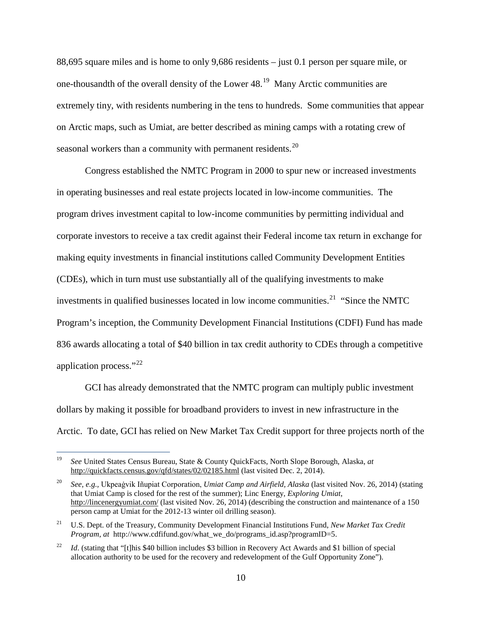88,695 square miles and is home to only 9,686 residents – just 0.1 person per square mile, or one-thousandth of the overall density of the Lower 48.[19](#page-10-0) Many Arctic communities are extremely tiny, with residents numbering in the tens to hundreds. Some communities that appear on Arctic maps, such as Umiat, are better described as mining camps with a rotating crew of seasonal workers than a community with permanent residents.<sup>[20](#page-10-1)</sup>

Congress established the NMTC Program in 2000 to spur new or increased investments in operating businesses and real estate projects located in low-income communities. The program drives investment capital to low-income communities by permitting individual and corporate investors to receive a tax credit against their Federal income tax return in exchange for making equity investments in financial institutions called Community Development Entities (CDEs), which in turn must use substantially all of the qualifying investments to make investments in qualified businesses located in low income communities.<sup>21</sup> "Since the NMTC Program's inception, the Community Development Financial Institutions (CDFI) Fund has made 836 awards allocating a total of \$40 billion in tax credit authority to CDEs through a competitive application process."<sup>[22](#page-10-3)</sup>

GCI has already demonstrated that the NMTC program can multiply public investment dollars by making it possible for broadband providers to invest in new infrastructure in the Arctic. To date, GCI has relied on New Market Tax Credit support for three projects north of the

<span id="page-10-0"></span><sup>19</sup> <sup>19</sup> *See* United States Census Bureau, State & County QuickFacts, North Slope Borough, Alaska, *at* <http://quickfacts.census.gov/qfd/states/02/02185.html> (last visited Dec. 2, 2014).

<span id="page-10-1"></span><sup>20</sup> *See, e.g.,* Ukpeaġvik Iñupiat Corporation, *Umiat Camp and Airfield, Alaska* (last visited Nov. 26, 2014) (stating that Umiat Camp is closed for the rest of the summer); Linc Energy, *Exploring Umiat*, <http://lincenergyumiat.com/> (last visited Nov. 26, 2014) (describing the construction and maintenance of a 150 person camp at Umiat for the 2012-13 winter oil drilling season).

<span id="page-10-2"></span><sup>21</sup> U.S. Dept. of the Treasury, Community Development Financial Institutions Fund, *New Market Tax Credit Program*, *at* http://www.cdfifund.gov/what\_we\_do/programs\_id.asp?programID=5.

<span id="page-10-3"></span><sup>&</sup>lt;sup>22</sup> *Id.* (stating that "[t]his \$40 billion includes \$3 billion in Recovery Act Awards and \$1 billion of special allocation authority to be used for the recovery and redevelopment of the Gulf Opportunity Zone").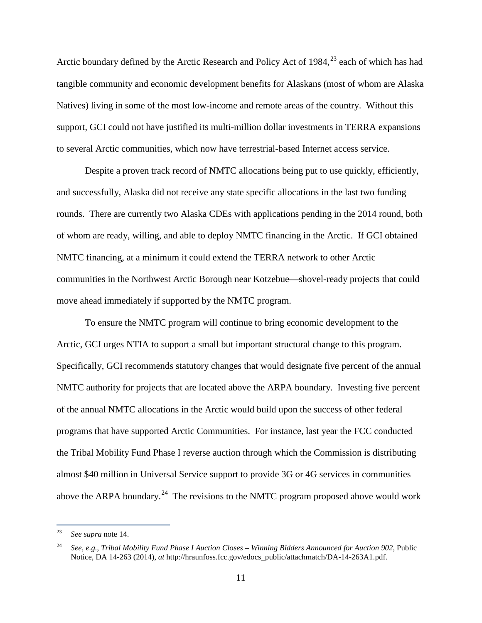Arctic boundary defined by the Arctic Research and Policy Act of 1984,<sup>[23](#page-11-0)</sup> each of which has had tangible community and economic development benefits for Alaskans (most of whom are Alaska Natives) living in some of the most low-income and remote areas of the country. Without this support, GCI could not have justified its multi-million dollar investments in TERRA expansions to several Arctic communities, which now have terrestrial-based Internet access service.

Despite a proven track record of NMTC allocations being put to use quickly, efficiently, and successfully, Alaska did not receive any state specific allocations in the last two funding rounds. There are currently two Alaska CDEs with applications pending in the 2014 round, both of whom are ready, willing, and able to deploy NMTC financing in the Arctic. If GCI obtained NMTC financing, at a minimum it could extend the TERRA network to other Arctic communities in the Northwest Arctic Borough near Kotzebue—shovel-ready projects that could move ahead immediately if supported by the NMTC program.

To ensure the NMTC program will continue to bring economic development to the Arctic, GCI urges NTIA to support a small but important structural change to this program. Specifically, GCI recommends statutory changes that would designate five percent of the annual NMTC authority for projects that are located above the ARPA boundary. Investing five percent of the annual NMTC allocations in the Arctic would build upon the success of other federal programs that have supported Arctic Communities. For instance, last year the FCC conducted the Tribal Mobility Fund Phase I reverse auction through which the Commission is distributing almost \$40 million in Universal Service support to provide 3G or 4G services in communities above the ARPA boundary.<sup>[24](#page-11-1)</sup> The revisions to the NMTC program proposed above would work

<span id="page-11-0"></span><sup>23</sup> See supra note [14.](#page-9-5)

<span id="page-11-1"></span><sup>24</sup> *See*, *e.g.*, *Tribal Mobility Fund Phase I Auction Closes – Winning Bidders Announced for Auction 902*, Public Notice, DA 14-263 (2014), *at* http://hraunfoss.fcc.gov/edocs\_public/attachmatch/DA-14-263A1.pdf.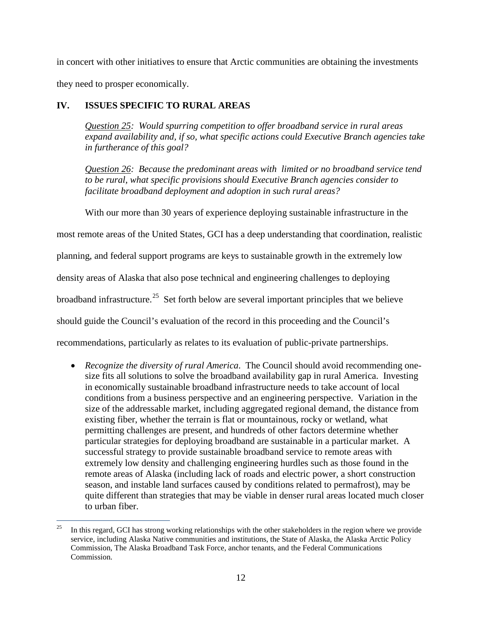in concert with other initiatives to ensure that Arctic communities are obtaining the investments they need to prosper economically.

## **IV. ISSUES SPECIFIC TO RURAL AREAS**

*Question 25: Would spurring competition to offer broadband service in rural areas expand availability and, if so, what specific actions could Executive Branch agencies take in furtherance of this goal?*

*Question 26: Because the predominant areas with limited or no broadband service tend to be rural, what specific provisions should Executive Branch agencies consider to facilitate broadband deployment and adoption in such rural areas?* 

With our more than 30 years of experience deploying sustainable infrastructure in the

most remote areas of the United States, GCI has a deep understanding that coordination, realistic

planning, and federal support programs are keys to sustainable growth in the extremely low

density areas of Alaska that also pose technical and engineering challenges to deploying

broadband infrastructure.<sup>25</sup> Set forth below are several important principles that we believe

should guide the Council's evaluation of the record in this proceeding and the Council's

recommendations, particularly as relates to its evaluation of public-private partnerships.

• *Recognize the diversity of rural America*. The Council should avoid recommending onesize fits all solutions to solve the broadband availability gap in rural America. Investing in economically sustainable broadband infrastructure needs to take account of local conditions from a business perspective and an engineering perspective. Variation in the size of the addressable market, including aggregated regional demand, the distance from existing fiber, whether the terrain is flat or mountainous, rocky or wetland, what permitting challenges are present, and hundreds of other factors determine whether particular strategies for deploying broadband are sustainable in a particular market. A successful strategy to provide sustainable broadband service to remote areas with extremely low density and challenging engineering hurdles such as those found in the remote areas of Alaska (including lack of roads and electric power, a short construction season, and instable land surfaces caused by conditions related to permafrost), may be quite different than strategies that may be viable in denser rural areas located much closer to urban fiber.

<span id="page-12-0"></span><sup>-</sup><sup>25</sup> In this regard, GCI has strong working relationships with the other stakeholders in the region where we provide service, including Alaska Native communities and institutions, the State of Alaska, the Alaska Arctic Policy Commission, The Alaska Broadband Task Force, anchor tenants, and the Federal Communications Commission.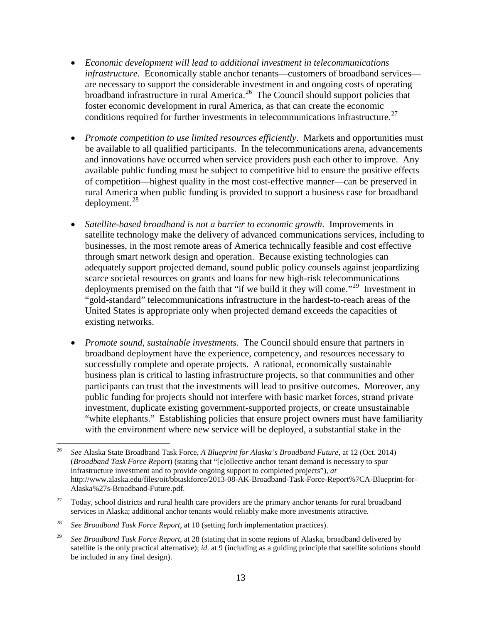- *Economic development will lead to additional investment in telecommunications infrastructure*. Economically stable anchor tenants—customers of broadband services are necessary to support the considerable investment in and ongoing costs of operating broadband infrastructure in rural America.<sup>[26](#page-13-0)</sup> The Council should support policies that foster economic development in rural America, as that can create the economic conditions required for further investments in telecommunications infrastructure.<sup>[27](#page-13-1)</sup>
- *Promote competition to use limited resources efficiently*. Markets and opportunities must be available to all qualified participants. In the telecommunications arena, advancements and innovations have occurred when service providers push each other to improve. Any available public funding must be subject to competitive bid to ensure the positive effects of competition—highest quality in the most cost-effective manner—can be preserved in rural America when public funding is provided to support a business case for broadband deployment. [28](#page-13-2)
- *Satellite-based broadband is not a barrier to economic growth*. Improvements in satellite technology make the delivery of advanced communications services, including to businesses, in the most remote areas of America technically feasible and cost effective through smart network design and operation. Because existing technologies can adequately support projected demand, sound public policy counsels against jeopardizing scarce societal resources on grants and loans for new high-risk telecommunications deployments premised on the faith that "if we build it they will come."[29](#page-13-3) Investment in "gold-standard" telecommunications infrastructure in the hardest-to-reach areas of the United States is appropriate only when projected demand exceeds the capacities of existing networks.
- *Promote sound, sustainable investments*. The Council should ensure that partners in broadband deployment have the experience, competency, and resources necessary to successfully complete and operate projects. A rational, economically sustainable business plan is critical to lasting infrastructure projects, so that communities and other participants can trust that the investments will lead to positive outcomes. Moreover, any public funding for projects should not interfere with basic market forces, strand private investment, duplicate existing government-supported projects, or create unsustainable "white elephants." Establishing policies that ensure project owners must have familiarity with the environment where new service will be deployed, a substantial stake in the

<span id="page-13-0"></span><sup>26</sup> <sup>26</sup> *See* Alaska State Broadband Task Force, *A Blueprint for Alaska's Broadband Future*, at 12 (Oct. 2014) (*Broadband Task Force Report*) (stating that "[c]ollective anchor tenant demand is necessary to spur infrastructure investment and to provide ongoing support to completed projects"), *at* http://www.alaska.edu/files/oit/bbtaskforce/2013-08-AK-Broadband-Task-Force-Report%7CA-Blueprint-for-Alaska%27s-Broadband-Future.pdf.

<span id="page-13-1"></span> $27$  Today, school districts and rural health care providers are the primary anchor tenants for rural broadband services in Alaska; additional anchor tenants would reliably make more investments attractive.

<span id="page-13-2"></span><sup>28</sup> *See Broadband Task Force Report*, at 10 (setting forth implementation practices).

<span id="page-13-3"></span><sup>29</sup> *See Broadband Task Force Report*, at 28 (stating that in some regions of Alaska, broadband delivered by satellite is the only practical alternative); *id*. at 9 (including as a guiding principle that satellite solutions should be included in any final design).